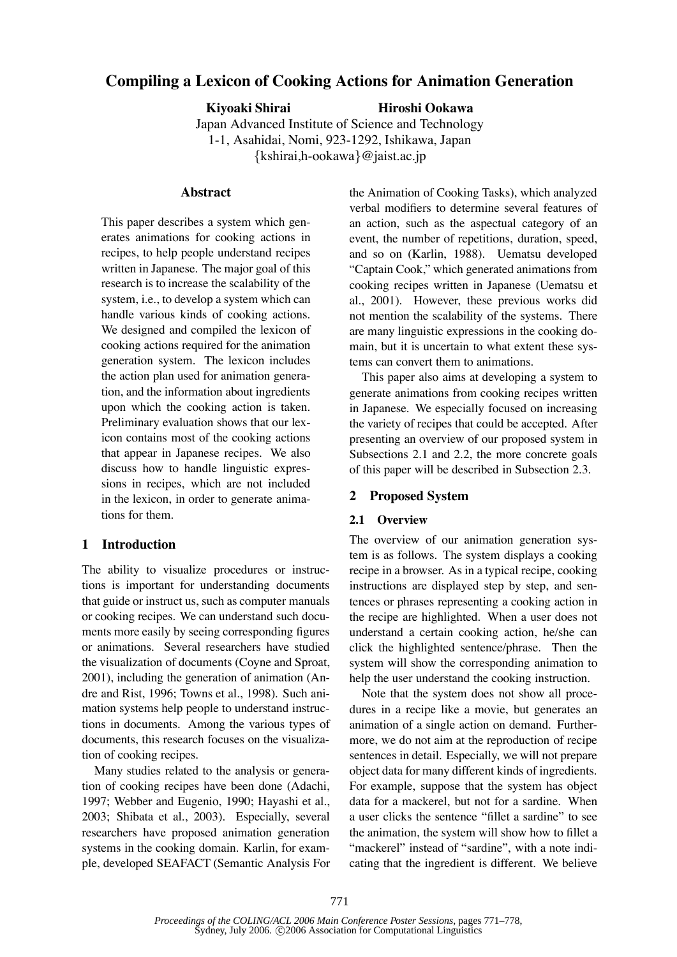# **Compiling a Lexicon of Cooking Actions for Animation Generation**

**Kiyoaki Shirai Hiroshi Ookawa**

Japan Advanced Institute of Science and Technology 1-1, Asahidai, Nomi, 923-1292, Ishikawa, Japan *{*kshirai,h-ookawa*}*@jaist.ac.jp

#### **Abstract**

This paper describes a system which generates animations for cooking actions in recipes, to help people understand recipes written in Japanese. The major goal of this research is to increase the scalability of the system, i.e., to develop a system which can handle various kinds of cooking actions. We designed and compiled the lexicon of cooking actions required for the animation generation system. The lexicon includes the action plan used for animation generation, and the information about ingredients upon which the cooking action is taken. Preliminary evaluation shows that our lexicon contains most of the cooking actions that appear in Japanese recipes. We also discuss how to handle linguistic expressions in recipes, which are not included in the lexicon, in order to generate animations for them.

#### **1 Introduction**

The ability to visualize procedures or instructions is important for understanding documents that guide or instruct us, such as computer manuals or cooking recipes. We can understand such documents more easily by seeing corresponding figures or animations. Several researchers have studied the visualization of documents (Coyne and Sproat, 2001), including the generation of animation (Andre and Rist, 1996; Towns et al., 1998). Such animation systems help people to understand instructions in documents. Among the various types of documents, this research focuses on the visualization of cooking recipes.

Many studies related to the analysis or generation of cooking recipes have been done (Adachi, 1997; Webber and Eugenio, 1990; Hayashi et al., 2003; Shibata et al., 2003). Especially, several researchers have proposed animation generation systems in the cooking domain. Karlin, for example, developed SEAFACT (Semantic Analysis For the Animation of Cooking Tasks), which analyzed verbal modifiers to determine several features of an action, such as the aspectual category of an event, the number of repetitions, duration, speed, and so on (Karlin, 1988). Uematsu developed "Captain Cook," which generated animations from cooking recipes written in Japanese (Uematsu et al., 2001). However, these previous works did not mention the scalability of the systems. There are many linguistic expressions in the cooking domain, but it is uncertain to what extent these systems can convert them to animations.

This paper also aims at developing a system to generate animations from cooking recipes written in Japanese. We especially focused on increasing the variety of recipes that could be accepted. After presenting an overview of our proposed system in Subsections 2.1 and 2.2, the more concrete goals of this paper will be described in Subsection 2.3.

#### **2 Proposed System**

#### **2.1 Overview**

The overview of our animation generation system is as follows. The system displays a cooking recipe in a browser. As in a typical recipe, cooking instructions are displayed step by step, and sentences or phrases representing a cooking action in the recipe are highlighted. When a user does not understand a certain cooking action, he/she can click the highlighted sentence/phrase. Then the system will show the corresponding animation to help the user understand the cooking instruction.

Note that the system does not show all procedures in a recipe like a movie, but generates an animation of a single action on demand. Furthermore, we do not aim at the reproduction of recipe sentences in detail. Especially, we will not prepare object data for many different kinds of ingredients. For example, suppose that the system has object data for a mackerel, but not for a sardine. When a user clicks the sentence "fillet a sardine" to see the animation, the system will show how to fillet a "mackerel" instead of "sardine", with a note indicating that the ingredient is different. We believe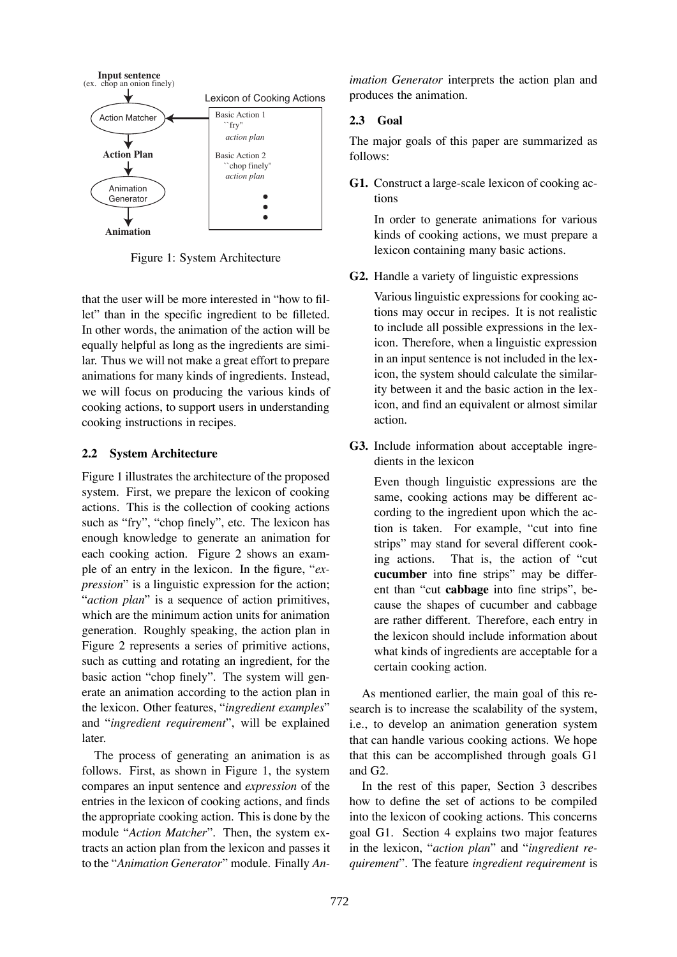

Figure 1: System Architecture

that the user will be more interested in "how to fillet" than in the specific ingredient to be filleted. In other words, the animation of the action will be equally helpful as long as the ingredients are similar. Thus we will not make a great effort to prepare animations for many kinds of ingredients. Instead, we will focus on producing the various kinds of cooking actions, to support users in understanding cooking instructions in recipes.

#### **2.2 System Architecture**

Figure 1 illustrates the architecture of the proposed system. First, we prepare the lexicon of cooking actions. This is the collection of cooking actions such as "fry", "chop finely", etc. The lexicon has enough knowledge to generate an animation for each cooking action. Figure 2 shows an example of an entry in the lexicon. In the figure, "*expression*" is a linguistic expression for the action; "*action plan*" is a sequence of action primitives, which are the minimum action units for animation generation. Roughly speaking, the action plan in Figure 2 represents a series of primitive actions, such as cutting and rotating an ingredient, for the basic action "chop finely". The system will generate an animation according to the action plan in the lexicon. Other features, "*ingredient examples*" and "*ingredient requirement*", will be explained later.

The process of generating an animation is as follows. First, as shown in Figure 1, the system compares an input sentence and *expression* of the entries in the lexicon of cooking actions, and finds the appropriate cooking action. This is done by the module "*Action Matcher*". Then, the system extracts an action plan from the lexicon and passes it to the "*Animation Generator*" module. Finally *An-*

*imation Generator* interprets the action plan and produces the animation.

# **2.3 Goal**

The major goals of this paper are summarized as follows:

**G1.** Construct a large-scale lexicon of cooking actions

In order to generate animations for various kinds of cooking actions, we must prepare a lexicon containing many basic actions.

**G2.** Handle a variety of linguistic expressions

Various linguistic expressions for cooking actions may occur in recipes. It is not realistic to include all possible expressions in the lexicon. Therefore, when a linguistic expression in an input sentence is not included in the lexicon, the system should calculate the similarity between it and the basic action in the lexicon, and find an equivalent or almost similar action.

**G3.** Include information about acceptable ingredients in the lexicon

Even though linguistic expressions are the same, cooking actions may be different according to the ingredient upon which the action is taken. For example, "cut into fine strips" may stand for several different cooking actions. That is, the action of "cut **cucumber** into fine strips" may be different than "cut **cabbage** into fine strips", because the shapes of cucumber and cabbage are rather different. Therefore, each entry in the lexicon should include information about what kinds of ingredients are acceptable for a certain cooking action.

As mentioned earlier, the main goal of this research is to increase the scalability of the system, i.e., to develop an animation generation system that can handle various cooking actions. We hope that this can be accomplished through goals G1 and G2.

In the rest of this paper, Section 3 describes how to define the set of actions to be compiled into the lexicon of cooking actions. This concerns goal G1. Section 4 explains two major features in the lexicon, "*action plan*" and "*ingredient requirement*". The feature *ingredient requirement* is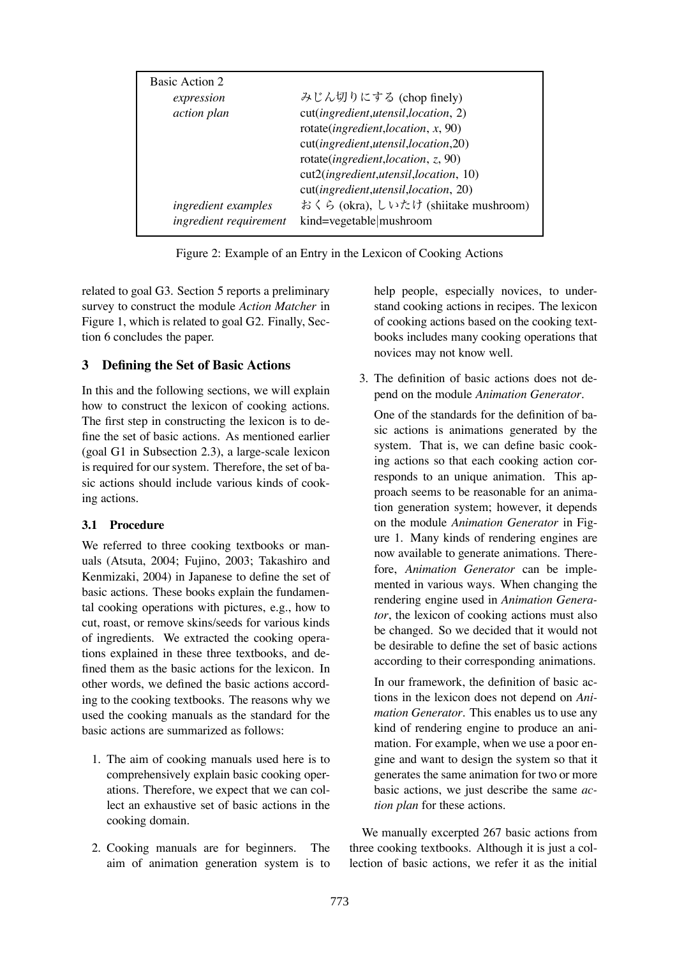| Basic Action 2         |                                        |
|------------------------|----------------------------------------|
| expression             | みじん切りにする (chop finely)                 |
| action plan            | cut(ingredient,utensil,location, 2)    |
|                        | rotate(ingredient, location, $x$ , 90) |
|                        | cut(ingredient,utensil,location,20)    |
|                        | rotate(ingredient, location, $z$ , 90) |
|                        | cut2(ingredient,utensil,location, 10)  |
|                        | cut(ingredient,utensil,location, 20)   |
| ingredient examples    | おくら (okra), しいたけ (shiitake mushroom)   |
| ingredient requirement | kind=vegetable mushroom                |

Figure 2: Example of an Entry in the Lexicon of Cooking Actions

related to goal G3. Section 5 reports a preliminary survey to construct the module *Action Matcher* in Figure 1, which is related to goal G2. Finally, Section 6 concludes the paper.

### **3 Defining the Set of Basic Actions**

In this and the following sections, we will explain how to construct the lexicon of cooking actions. The first step in constructing the lexicon is to define the set of basic actions. As mentioned earlier (goal G1 in Subsection 2.3), a large-scale lexicon is required for our system. Therefore, the set of basic actions should include various kinds of cooking actions.

#### **3.1 Procedure**

We referred to three cooking textbooks or manuals (Atsuta, 2004; Fujino, 2003; Takashiro and Kenmizaki, 2004) in Japanese to define the set of basic actions. These books explain the fundamental cooking operations with pictures, e.g., how to cut, roast, or remove skins/seeds for various kinds of ingredients. We extracted the cooking operations explained in these three textbooks, and defined them as the basic actions for the lexicon. In other words, we defined the basic actions according to the cooking textbooks. The reasons why we used the cooking manuals as the standard for the basic actions are summarized as follows:

- 1. The aim of cooking manuals used here is to comprehensively explain basic cooking operations. Therefore, we expect that we can collect an exhaustive set of basic actions in the cooking domain.
- 2. Cooking manuals are for beginners. The aim of animation generation system is to

help people, especially novices, to understand cooking actions in recipes. The lexicon of cooking actions based on the cooking textbooks includes many cooking operations that novices may not know well.

3. The definition of basic actions does not depend on the module *Animation Generator*.

One of the standards for the definition of basic actions is animations generated by the system. That is, we can define basic cooking actions so that each cooking action corresponds to an unique animation. This approach seems to be reasonable for an animation generation system; however, it depends on the module *Animation Generator* in Figure 1. Many kinds of rendering engines are now available to generate animations. Therefore, *Animation Generator* can be implemented in various ways. When changing the rendering engine used in *Animation Generator*, the lexicon of cooking actions must also be changed. So we decided that it would not be desirable to define the set of basic actions according to their corresponding animations.

In our framework, the definition of basic actions in the lexicon does not depend on *Animation Generator*. This enables us to use any kind of rendering engine to produce an animation. For example, when we use a poor engine and want to design the system so that it generates the same animation for two or more basic actions, we just describe the same *action plan* for these actions.

We manually excerpted 267 basic actions from three cooking textbooks. Although it is just a collection of basic actions, we refer it as the initial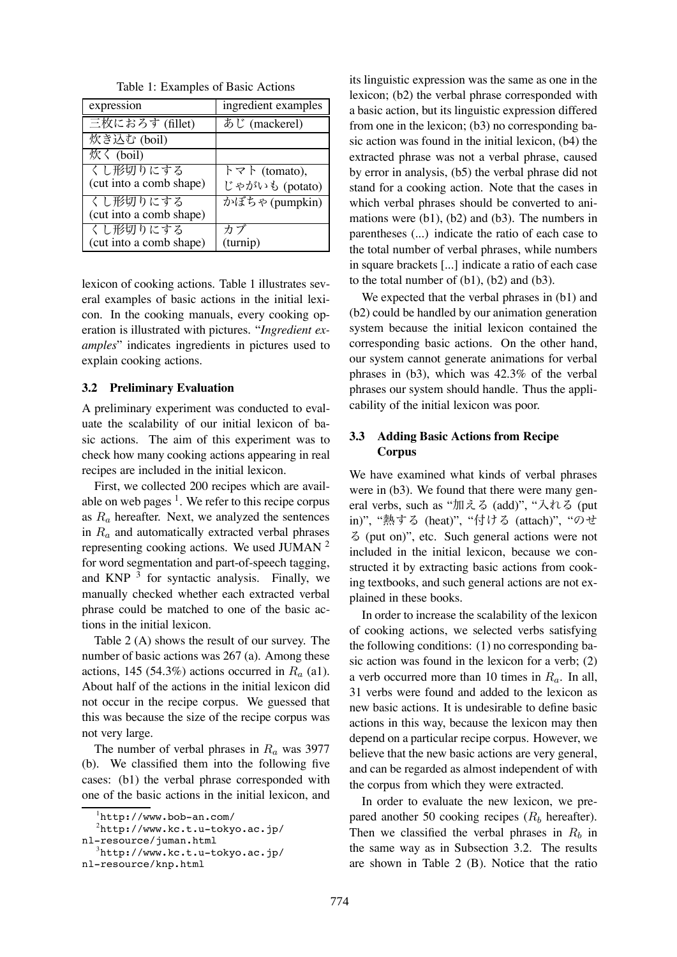| expression              | ingredient examples                      |
|-------------------------|------------------------------------------|
| 三枚におろす (fillet)         | あじ (mackerel)                            |
| 炊き込む (boil)             |                                          |
| 炊く (boil)               |                                          |
| くし形切りにする                | $\dagger \triangledown \vdash$ (tomato), |
| (cut into a comb shape) | じゃがいも (potato)                           |
| くし形切りにする                | かぼちゃ (pumpkin)                           |
| (cut into a comb shape) |                                          |
| くし形切りにする                | カブ                                       |
| (cut into a comb shape) | (turnip)                                 |

Table 1: Examples of Basic Actions

lexicon of cooking actions. Table 1 illustrates several examples of basic actions in the initial lexicon. In the cooking manuals, every cooking operation is illustrated with pictures. "*Ingredient examples*" indicates ingredients in pictures used to explain cooking actions.

#### **3.2 Preliminary Evaluation**

A preliminary experiment was conducted to evaluate the scalability of our initial lexicon of basic actions. The aim of this experiment was to check how many cooking actions appearing in real recipes are included in the initial lexicon.

First, we collected 200 recipes which are available on web pages  $<sup>1</sup>$ . We refer to this recipe corpus</sup> as  $R_a$  hereafter. Next, we analyzed the sentences in *R<sup>a</sup>* and automatically extracted verbal phrases representing cooking actions. We used JUMAN <sup>2</sup> for word segmentation and part-of-speech tagging, and KNP  $3$  for syntactic analysis. Finally, we manually checked whether each extracted verbal phrase could be matched to one of the basic actions in the initial lexicon.

Table 2 (A) shows the result of our survey. The number of basic actions was 267 (a). Among these actions, 145 (54.3%) actions occurred in  $R_a$  (a1). About half of the actions in the initial lexicon did not occur in the recipe corpus. We guessed that this was because the size of the recipe corpus was not very large.

The number of verbal phrases in *R<sup>a</sup>* was 3977 (b). We classified them into the following five cases: (b1) the verbal phrase corresponded with one of the basic actions in the initial lexicon, and

its linguistic expression was the same as one in the lexicon; (b2) the verbal phrase corresponded with a basic action, but its linguistic expression differed from one in the lexicon; (b3) no corresponding basic action was found in the initial lexicon, (b4) the extracted phrase was not a verbal phrase, caused by error in analysis, (b5) the verbal phrase did not stand for a cooking action. Note that the cases in which verbal phrases should be converted to animations were (b1), (b2) and (b3). The numbers in parentheses (...) indicate the ratio of each case to the total number of verbal phrases, while numbers in square brackets [...] indicate a ratio of each case to the total number of (b1), (b2) and (b3).

We expected that the verbal phrases in (b1) and (b2) could be handled by our animation generation system because the initial lexicon contained the corresponding basic actions. On the other hand, our system cannot generate animations for verbal phrases in (b3), which was 42.3% of the verbal phrases our system should handle. Thus the applicability of the initial lexicon was poor.

#### **3.3 Adding Basic Actions from Recipe Corpus**

We have examined what kinds of verbal phrases were in  $(b3)$ . We found that there were many general verbs, such as "加える (add)", "入れる (put in)", "熱する (heat)", "付ける (attach)", "のせ る (put on)", etc. Such general actions were not included in the initial lexicon, because we constructed it by extracting basic actions from cooking textbooks, and such general actions are not explained in these books.

In order to increase the scalability of the lexicon of cooking actions, we selected verbs satisfying the following conditions: (1) no corresponding basic action was found in the lexicon for a verb; (2) a verb occurred more than 10 times in *Ra*. In all, 31 verbs were found and added to the lexicon as new basic actions. It is undesirable to define basic actions in this way, because the lexicon may then depend on a particular recipe corpus. However, we believe that the new basic actions are very general, and can be regarded as almost independent of with the corpus from which they were extracted.

In order to evaluate the new lexicon, we prepared another 50 cooking recipes  $(R_b)$  hereafter). Then we classified the verbal phrases in  $R_b$  in the same way as in Subsection 3.2. The results are shown in Table 2 (B). Notice that the ratio

<sup>1</sup> http://www.bob-an.com/

 $^{2}$ http://www.kc.t.u-tokyo.ac.jp/

nl-resource/juman.html

 $^3$ http://www.kc.t.u-tokyo.ac.jp/

nl-resource/knp.html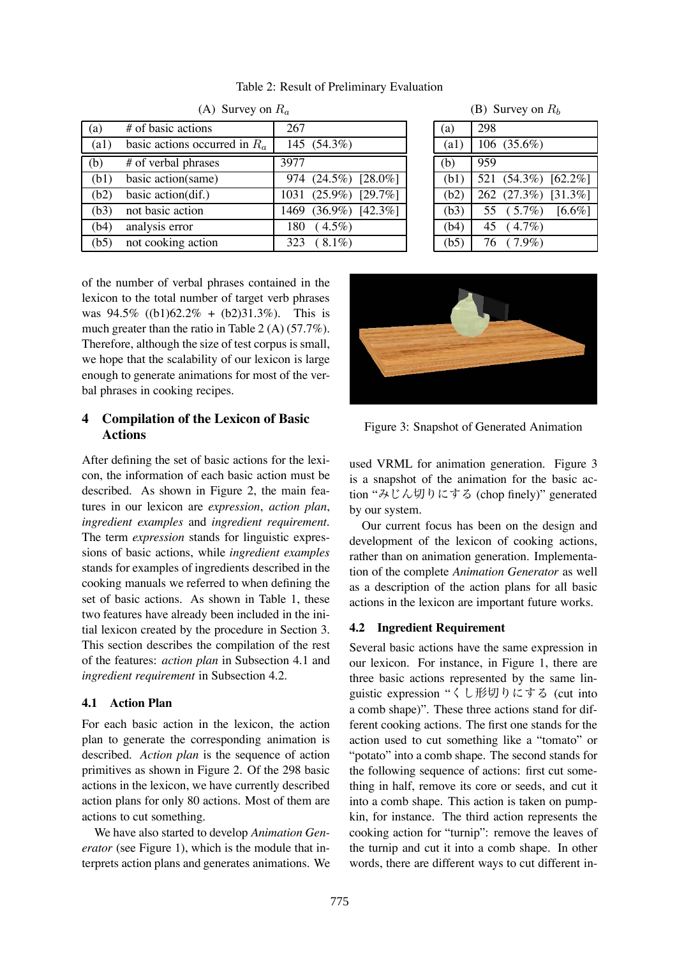(A) Survey on *R<sup>a</sup>* (a)  $\#$  of basic actions  $\left| \right|$  267 (a1) basic actions occurred in  $R_a$  | 145 (54.3%) (b)  $\#$  of verbal phrases  $\Big|$  3977 (b1) basic action(same) 974 (24.5%) [28.0%] (b2) basic action(dif.) 1031 (25.9%) [29.7%] (b3) not basic action  $1469 (36.9%) [42.3%]$  $(b4)$  analysis error 180 ( 4.5%) (b5) not cooking action  $\begin{array}{|l|}\n\hline\n323 & (8.1\%)\n\hline\n\end{array}$ 

Table 2: Result of Preliminary Evaluation

|  | (B) Survey on $R_b$ |  |  |
|--|---------------------|--|--|
|--|---------------------|--|--|

| (a)  | 298 |                     |           |
|------|-----|---------------------|-----------|
| (a1) |     | 106 (35.6%)         |           |
| (b)  | 959 |                     |           |
| (b1) |     | 521 (54.3%) [62.2%] |           |
| (b2) |     | 262 (27.3%) [31.3%] |           |
| (b3) |     | 55 (5.7%)           | $[6.6\%]$ |
| (b4) |     | 45 (4.7%)           |           |
| (b5) |     | 76 (7.9%)           |           |

of the number of verbal phrases contained in the lexicon to the total number of target verb phrases was  $94.5\%$  ((b1)62.2\% + (b2)31.3\%). This is much greater than the ratio in Table 2 (A) (57.7%). Therefore, although the size of test corpus is small, we hope that the scalability of our lexicon is large enough to generate animations for most of the verbal phrases in cooking recipes.

### **4 Compilation of the Lexicon of Basic Actions**

After defining the set of basic actions for the lexicon, the information of each basic action must be described. As shown in Figure 2, the main features in our lexicon are *expression*, *action plan*, *ingredient examples* and *ingredient requirement*. The term *expression* stands for linguistic expressions of basic actions, while *ingredient examples* stands for examples of ingredients described in the cooking manuals we referred to when defining the set of basic actions. As shown in Table 1, these two features have already been included in the initial lexicon created by the procedure in Section 3. This section describes the compilation of the rest of the features: *action plan* in Subsection 4.1 and *ingredient requirement* in Subsection 4.2.

# **4.1 Action Plan**

For each basic action in the lexicon, the action plan to generate the corresponding animation is described. *Action plan* is the sequence of action primitives as shown in Figure 2. Of the 298 basic actions in the lexicon, we have currently described action plans for only 80 actions. Most of them are actions to cut something.

We have also started to develop *Animation Generator* (see Figure 1), which is the module that interprets action plans and generates animations. We





used VRML for animation generation. Figure 3 is a snapshot of the animation for the basic action "みじん切りにする (chop finely)" generated by our system.

Our current focus has been on the design and development of the lexicon of cooking actions, rather than on animation generation. Implementation of the complete *Animation Generator* as well as a description of the action plans for all basic actions in the lexicon are important future works.

# **4.2 Ingredient Requirement**

Several basic actions have the same expression in our lexicon. For instance, in Figure 1, there are three basic actions represented by the same linguistic expression "くし形切りにする (cut into a comb shape)". These three actions stand for different cooking actions. The first one stands for the action used to cut something like a "tomato" or "potato" into a comb shape. The second stands for the following sequence of actions: first cut something in half, remove its core or seeds, and cut it into a comb shape. This action is taken on pumpkin, for instance. The third action represents the cooking action for "turnip": remove the leaves of the turnip and cut it into a comb shape. In other words, there are different ways to cut different in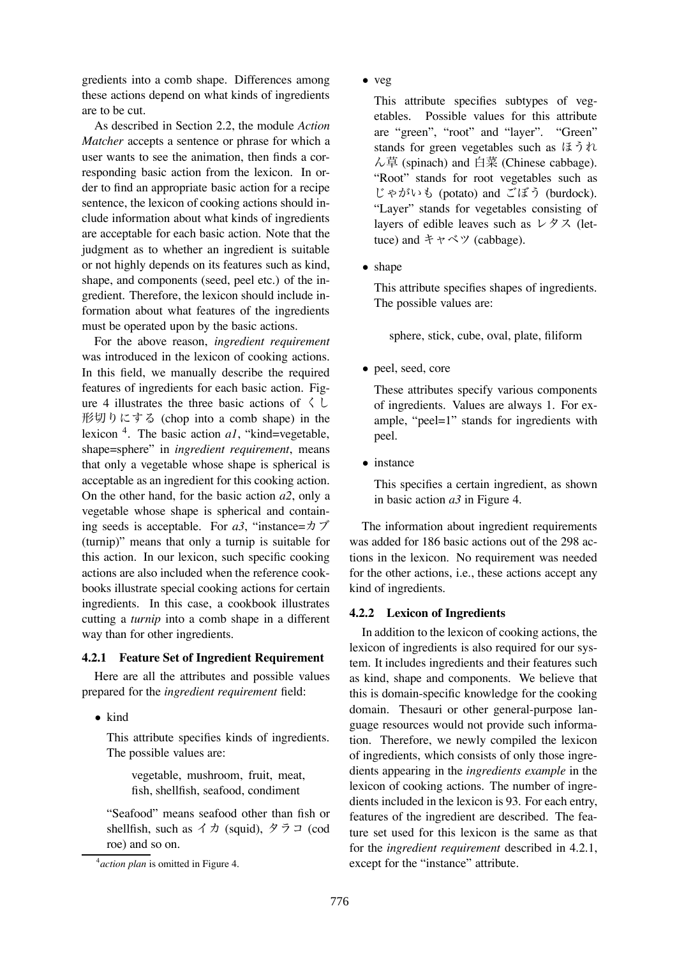gredients into a comb shape. Differences among these actions depend on what kinds of ingredients are to be cut.

As described in Section 2.2, the module *Action Matcher* accepts a sentence or phrase for which a user wants to see the animation, then finds a corresponding basic action from the lexicon. In order to find an appropriate basic action for a recipe sentence, the lexicon of cooking actions should include information about what kinds of ingredients are acceptable for each basic action. Note that the judgment as to whether an ingredient is suitable or not highly depends on its features such as kind, shape, and components (seed, peel etc.) of the ingredient. Therefore, the lexicon should include information about what features of the ingredients must be operated upon by the basic actions.

For the above reason, *ingredient requirement* was introduced in the lexicon of cooking actions. In this field, we manually describe the required features of ingredients for each basic action. Figure 4 illustrates the three basic actions of  $\langle \rangle$ 形切りにする (chop into a comb shape) in the lexicon 4. The basic action *a1*, "kind=vegetable, shape=sphere" in *ingredient requirement*, means that only a vegetable whose shape is spherical is acceptable as an ingredient for this cooking action. On the other hand, for the basic action *a2*, only a vegetable whose shape is spherical and containing seeds is acceptable. For *a3*, "instance=カブ (turnip)" means that only a turnip is suitable for this action. In our lexicon, such specific cooking actions are also included when the reference cookbooks illustrate special cooking actions for certain ingredients. In this case, a cookbook illustrates cutting a *turnip* into a comb shape in a different way than for other ingredients.

#### **4.2.1 Feature Set of Ingredient Requirement**

Here are all the attributes and possible values prepared for the *ingredient requirement* field:

*•* kind

This attribute specifies kinds of ingredients. The possible values are:

> vegetable, mushroom, fruit, meat, fish, shellfish, seafood, condiment

"Seafood" means seafood other than fish or shellfish, such as  $\forall$   $\not\exists$  (squid),  $\not\exists$   $\not\exists$  (cod roe) and so on.

*•* veg

This attribute specifies subtypes of vegetables. Possible values for this attribute are "green", "root" and "layer". "Green" stands for green vegetables such as ほうれ ん草 (spinach) and 白菜 (Chinese cabbage). "Root" stands for root vegetables such as じゃがいも (potato) and ごぼう (burdock). "Layer" stands for vegetables consisting of layers of edible leaves such as レタス (lettuce) and キャベツ (cabbage).

*•* shape

This attribute specifies shapes of ingredients. The possible values are:

sphere, stick, cube, oval, plate, filiform

*•* peel, seed, core

These attributes specify various components of ingredients. Values are always 1. For example, "peel=1" stands for ingredients with peel.

*•* instance

This specifies a certain ingredient, as shown in basic action *a3* in Figure 4.

The information about ingredient requirements was added for 186 basic actions out of the 298 actions in the lexicon. No requirement was needed for the other actions, i.e., these actions accept any kind of ingredients.

#### **4.2.2 Lexicon of Ingredients**

In addition to the lexicon of cooking actions, the lexicon of ingredients is also required for our system. It includes ingredients and their features such as kind, shape and components. We believe that this is domain-specific knowledge for the cooking domain. Thesauri or other general-purpose language resources would not provide such information. Therefore, we newly compiled the lexicon of ingredients, which consists of only those ingredients appearing in the *ingredients example* in the lexicon of cooking actions. The number of ingredients included in the lexicon is 93. For each entry, features of the ingredient are described. The feature set used for this lexicon is the same as that for the *ingredient requirement* described in 4.2.1, except for the "instance" attribute.

<sup>4</sup> *action plan* is omitted in Figure 4.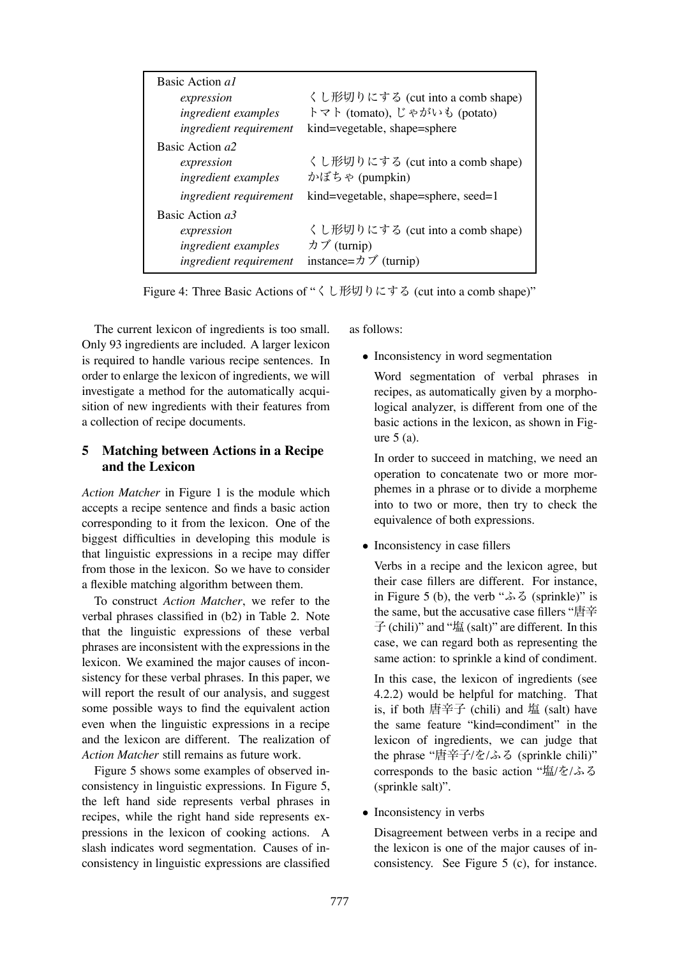| Basic Action al<br>expression<br>ingredient examples<br>ingredient requirement | くし形切りにする (cut into a comb shape)<br>トマト (tomato), じゃがいも (potato)<br>kind=vegetable, shape=sphere |
|--------------------------------------------------------------------------------|--------------------------------------------------------------------------------------------------|
| Basic Action a2<br>expression<br>ingredient examples                           | くし形切りにする (cut into a comb shape)<br>かぼちゃ (pumpkin)                                               |
| ingredient requirement                                                         | kind=vegetable, shape=sphere, seed=1                                                             |
| Basic Action a3<br>expression<br>ingredient examples<br>ingredient requirement | くし形切りにする (cut into a comb shape)<br>カブ (turnip)<br>instance= $\pi \nearrow$ (turnip)             |

Figure 4: Three Basic Actions of "くし形切りにする (cut into a comb shape)"

The current lexicon of ingredients is too small. Only 93 ingredients are included. A larger lexicon is required to handle various recipe sentences. In order to enlarge the lexicon of ingredients, we will investigate a method for the automatically acquisition of new ingredients with their features from a collection of recipe documents.

## **5 Matching between Actions in a Recipe and the Lexicon**

*Action Matcher* in Figure 1 is the module which accepts a recipe sentence and finds a basic action corresponding to it from the lexicon. One of the biggest difficulties in developing this module is that linguistic expressions in a recipe may differ from those in the lexicon. So we have to consider a flexible matching algorithm between them.

To construct *Action Matcher*, we refer to the verbal phrases classified in (b2) in Table 2. Note that the linguistic expressions of these verbal phrases are inconsistent with the expressions in the lexicon. We examined the major causes of inconsistency for these verbal phrases. In this paper, we will report the result of our analysis, and suggest some possible ways to find the equivalent action even when the linguistic expressions in a recipe and the lexicon are different. The realization of *Action Matcher* still remains as future work.

Figure 5 shows some examples of observed inconsistency in linguistic expressions. In Figure 5, the left hand side represents verbal phrases in recipes, while the right hand side represents expressions in the lexicon of cooking actions. A slash indicates word segmentation. Causes of inconsistency in linguistic expressions are classified as follows:

- Inconsistency in word segmentation
	- Word segmentation of verbal phrases in recipes, as automatically given by a morphological analyzer, is different from one of the basic actions in the lexicon, as shown in Figure 5 (a).

In order to succeed in matching, we need an operation to concatenate two or more morphemes in a phrase or to divide a morpheme into to two or more, then try to check the equivalence of both expressions.

• Inconsistency in case fillers

Verbs in a recipe and the lexicon agree, but their case fillers are different. For instance, in Figure 5 (b), the verb "ふる (sprinkle)" is the same, but the accusative case fillers "唐辛 子 (chili)" and "塩 (salt)" are different. In this case, we can regard both as representing the same action: to sprinkle a kind of condiment.

In this case, the lexicon of ingredients (see 4.2.2) would be helpful for matching. That is, if both 唐辛子 (chili) and 塩 (salt) have the same feature "kind=condiment" in the lexicon of ingredients, we can judge that the phrase "唐辛子/を/ふる (sprinkle chili)" corresponds to the basic action "塩/を/ふる (sprinkle salt)".

*•* Inconsistency in verbs

Disagreement between verbs in a recipe and the lexicon is one of the major causes of inconsistency. See Figure 5 (c), for instance.